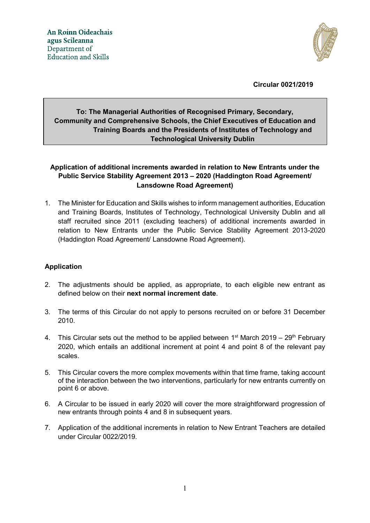

**Circular 0021/2019**

## **To: The Managerial Authorities of Recognised Primary, Secondary, Community and Comprehensive Schools, the Chief Executives of Education and Training Boards and the Presidents of Institutes of Technology and Technological University Dublin**

## **Application of additional increments awarded in relation to New Entrants under the Public Service Stability Agreement 2013 – 2020 (Haddington Road Agreement/ Lansdowne Road Agreement)**

1. The Minister for Education and Skills wishes to inform management authorities, Education and Training Boards, Institutes of Technology, Technological University Dublin and all staff recruited since 2011 (excluding teachers) of additional increments awarded in relation to New Entrants under the Public Service Stability Agreement 2013-2020 (Haddington Road Agreement/ Lansdowne Road Agreement).

## **Application**

- 2. The adjustments should be applied, as appropriate, to each eligible new entrant as defined below on their **next normal increment date**.
- 3. The terms of this Circular do not apply to persons recruited on or before 31 December 2010.
- 4. This Circular sets out the method to be applied between  $1<sup>st</sup>$  March 2019 29<sup>th</sup> February 2020, which entails an additional increment at point 4 and point 8 of the relevant pay scales.
- 5. This Circular covers the more complex movements within that time frame, taking account of the interaction between the two interventions, particularly for new entrants currently on point 6 or above.
- 6. A Circular to be issued in early 2020 will cover the more straightforward progression of new entrants through points 4 and 8 in subsequent years.
- 7. Application of the additional increments in relation to New Entrant Teachers are detailed under Circular 0022/2019.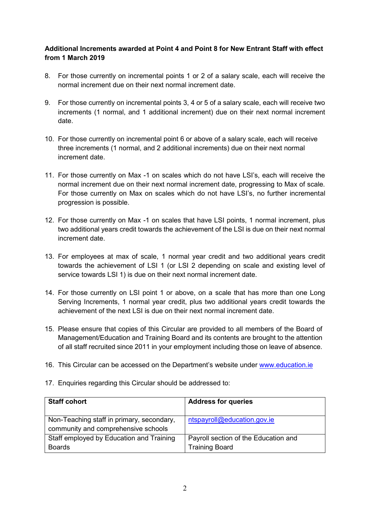## **Additional Increments awarded at Point 4 and Point 8 for New Entrant Staff with effect from 1 March 2019**

- 8. For those currently on incremental points 1 or 2 of a salary scale, each will receive the normal increment due on their next normal increment date.
- 9. For those currently on incremental points 3, 4 or 5 of a salary scale, each will receive two increments (1 normal, and 1 additional increment) due on their next normal increment date.
- 10. For those currently on incremental point 6 or above of a salary scale, each will receive three increments (1 normal, and 2 additional increments) due on their next normal increment date.
- 11. For those currently on Max -1 on scales which do not have LSI's, each will receive the normal increment due on their next normal increment date, progressing to Max of scale. For those currently on Max on scales which do not have LSI's, no further incremental progression is possible.
- 12. For those currently on Max -1 on scales that have LSI points, 1 normal increment, plus two additional years credit towards the achievement of the LSI is due on their next normal increment date.
- 13. For employees at max of scale, 1 normal year credit and two additional years credit towards the achievement of LSI 1 (or LSI 2 depending on scale and existing level of service towards LSI 1) is due on their next normal increment date.
- 14. For those currently on LSI point 1 or above, on a scale that has more than one Long Serving Increments, 1 normal year credit, plus two additional years credit towards the achievement of the next LSI is due on their next normal increment date.
- 15. Please ensure that copies of this Circular are provided to all members of the Board of Management/Education and Training Board and its contents are brought to the attention of all staff recruited since 2011 in your employment including those on leave of absence.
- 16. This Circular can be accessed on the Department's website under [www.education.ie](http://www.education.ie/)

| <b>Staff cohort</b>                                                              | <b>Address for queries</b>           |
|----------------------------------------------------------------------------------|--------------------------------------|
| Non-Teaching staff in primary, secondary,<br>community and comprehensive schools | ntspayroll@education.gov.ie          |
| Staff employed by Education and Training                                         | Payroll section of the Education and |
| <b>Boards</b>                                                                    | <b>Training Board</b>                |

17. Enquiries regarding this Circular should be addressed to: